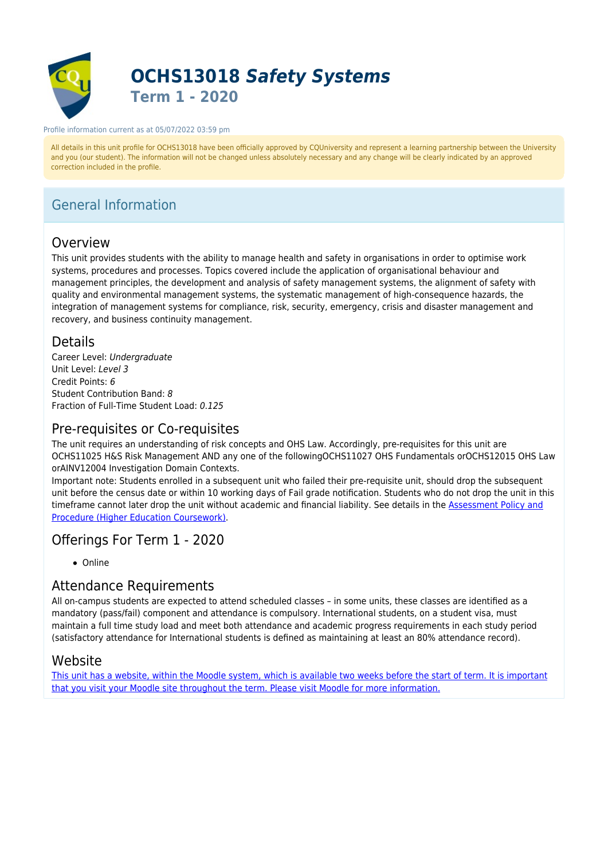

# **OCHS13018** *Safety Systems* **Term 1 - 2020**

#### Profile information current as at 05/07/2022 03:59 pm

All details in this unit profile for OCHS13018 have been officially approved by CQUniversity and represent a learning partnership between the University and you (our student). The information will not be changed unless absolutely necessary and any change will be clearly indicated by an approved correction included in the profile.

# General Information

## Overview

This unit provides students with the ability to manage health and safety in organisations in order to optimise work systems, procedures and processes. Topics covered include the application of organisational behaviour and management principles, the development and analysis of safety management systems, the alignment of safety with quality and environmental management systems, the systematic management of high-consequence hazards, the integration of management systems for compliance, risk, security, emergency, crisis and disaster management and recovery, and business continuity management.

## Details

Career Level: Undergraduate Unit Level: Level 3 Credit Points: 6 Student Contribution Band: 8 Fraction of Full-Time Student Load: 0.125

## Pre-requisites or Co-requisites

The unit requires an understanding of risk concepts and OHS Law. Accordingly, pre-requisites for this unit are OCHS11025 H&S Risk Management AND any one of the followingOCHS11027 OHS Fundamentals orOCHS12015 OHS Law orAINV12004 Investigation Domain Contexts.

Important note: Students enrolled in a subsequent unit who failed their pre-requisite unit, should drop the subsequent unit before the census date or within 10 working days of Fail grade notification. Students who do not drop the unit in this timeframe cannot later drop the unit without academic and financial liability. See details in the [Assessment Policy and](https://www.cqu.edu.au/policy) [Procedure \(Higher Education Coursework\)](https://www.cqu.edu.au/policy).

## Offerings For Term 1 - 2020

• Online

# Attendance Requirements

All on-campus students are expected to attend scheduled classes – in some units, these classes are identified as a mandatory (pass/fail) component and attendance is compulsory. International students, on a student visa, must maintain a full time study load and meet both attendance and academic progress requirements in each study period (satisfactory attendance for International students is defined as maintaining at least an 80% attendance record).

## Website

[This unit has a website, within the Moodle system, which is available two weeks before the start of term. It is important](https://moodle.cqu.edu.au) [that you visit your Moodle site throughout the term. Please visit Moodle for more information.](https://moodle.cqu.edu.au)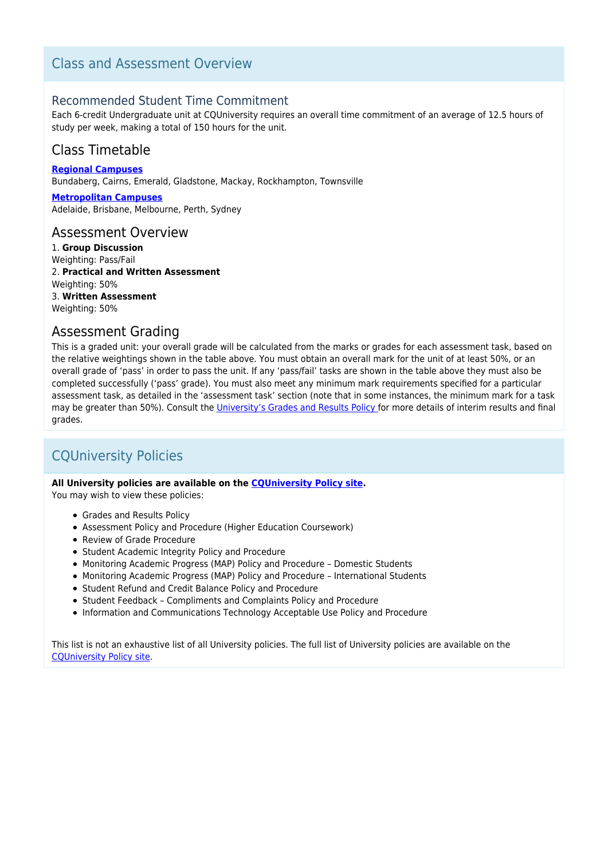## Class and Assessment Overview

### Recommended Student Time Commitment

Each 6-credit Undergraduate unit at CQUniversity requires an overall time commitment of an average of 12.5 hours of study per week, making a total of 150 hours for the unit.

## Class Timetable

**[Regional Campuses](https://handbook.cqu.edu.au/facet/timetables)** Bundaberg, Cairns, Emerald, Gladstone, Mackay, Rockhampton, Townsville

**[Metropolitan Campuses](https://handbook.cqu.edu.au/facet/timetables)** Adelaide, Brisbane, Melbourne, Perth, Sydney

### Assessment Overview

1. **Group Discussion** Weighting: Pass/Fail 2. **Practical and Written Assessment** Weighting: 50% 3. **Written Assessment** Weighting: 50%

## Assessment Grading

This is a graded unit: your overall grade will be calculated from the marks or grades for each assessment task, based on the relative weightings shown in the table above. You must obtain an overall mark for the unit of at least 50%, or an overall grade of 'pass' in order to pass the unit. If any 'pass/fail' tasks are shown in the table above they must also be completed successfully ('pass' grade). You must also meet any minimum mark requirements specified for a particular assessment task, as detailed in the 'assessment task' section (note that in some instances, the minimum mark for a task may be greater than 50%). Consult the [University's Grades and Results Policy](https://www.cqu.edu.au/policy) for more details of interim results and final grades.

# CQUniversity Policies

#### **All University policies are available on the [CQUniversity Policy site.](https://policy.cqu.edu.au/)**

You may wish to view these policies:

- Grades and Results Policy
- Assessment Policy and Procedure (Higher Education Coursework)
- Review of Grade Procedure
- Student Academic Integrity Policy and Procedure
- Monitoring Academic Progress (MAP) Policy and Procedure Domestic Students
- Monitoring Academic Progress (MAP) Policy and Procedure International Students
- Student Refund and Credit Balance Policy and Procedure
- Student Feedback Compliments and Complaints Policy and Procedure
- Information and Communications Technology Acceptable Use Policy and Procedure

This list is not an exhaustive list of all University policies. The full list of University policies are available on the [CQUniversity Policy site.](https://policy.cqu.edu.au/)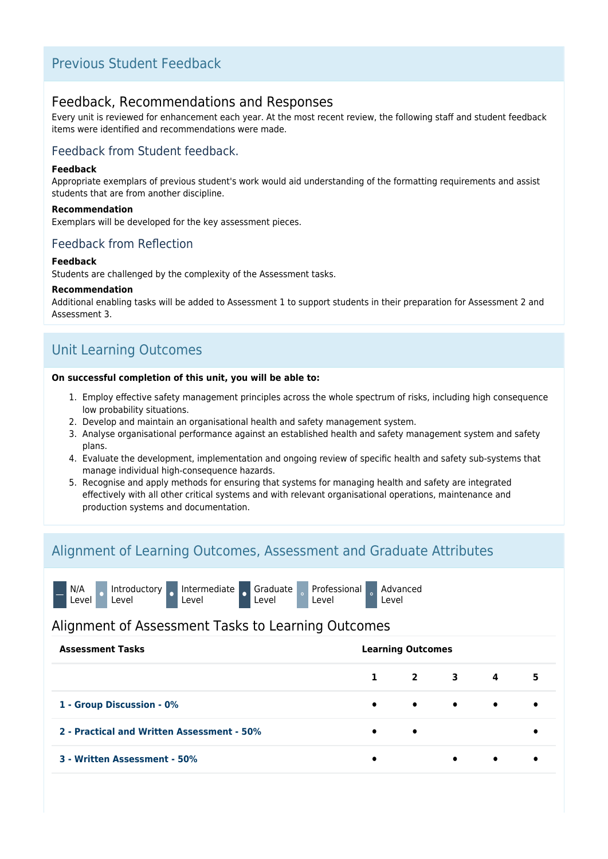## Previous Student Feedback

## Feedback, Recommendations and Responses

Every unit is reviewed for enhancement each year. At the most recent review, the following staff and student feedback items were identified and recommendations were made.

### Feedback from Student feedback.

#### **Feedback**

Appropriate exemplars of previous student's work would aid understanding of the formatting requirements and assist students that are from another discipline.

#### **Recommendation**

Exemplars will be developed for the key assessment pieces.

### Feedback from Reflection

#### **Feedback**

Students are challenged by the complexity of the Assessment tasks.

#### **Recommendation**

Additional enabling tasks will be added to Assessment 1 to support students in their preparation for Assessment 2 and Assessment 3.

# Unit Learning Outcomes

#### **On successful completion of this unit, you will be able to:**

- 1. Employ effective safety management principles across the whole spectrum of risks, including high consequence low probability situations.
- 2. Develop and maintain an organisational health and safety management system.
- 3. Analyse organisational performance against an established health and safety management system and safety plans.
- 4. Evaluate the development, implementation and ongoing review of specific health and safety sub-systems that manage individual high-consequence hazards.
- 5. Recognise and apply methods for ensuring that systems for managing health and safety are integrated effectively with all other critical systems and with relevant organisational operations, maintenance and production systems and documentation.

## Alignment of Learning Outcomes, Assessment and Graduate Attributes

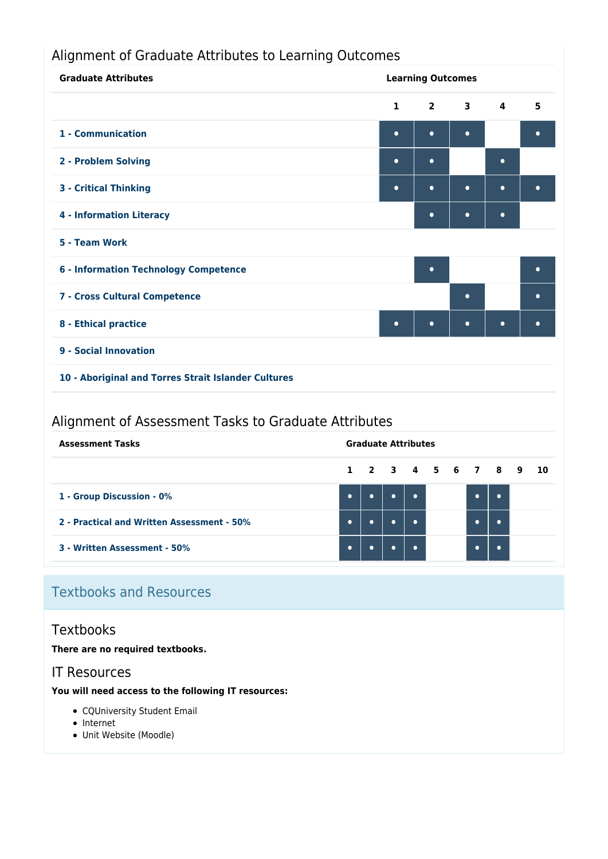# Alignment of Graduate Attributes to Learning Outcomes

| <b>Graduate Attributes</b>                          | <b>Learning Outcomes</b> |             |             |                         |           |
|-----------------------------------------------------|--------------------------|-------------|-------------|-------------------------|-----------|
|                                                     | $\mathbf{1}$             | $2^{\circ}$ | $3^{\circ}$ | $\overline{\mathbf{4}}$ | 5         |
| 1 - Communication                                   | $\bullet$                | $\bullet$   | $\bullet$   |                         | $\bullet$ |
| 2 - Problem Solving                                 | $\bullet$                | $\bullet$   |             | $\bullet$               |           |
| <b>3 - Critical Thinking</b>                        | $\bullet$                | $\bullet$   | $\bullet$   | $\bullet$               | $\bullet$ |
| <b>4 - Information Literacy</b>                     |                          | $\bullet$   | $\bullet$   | $\bullet$               |           |
| 5 - Team Work                                       |                          |             |             |                         |           |
| <b>6 - Information Technology Competence</b>        |                          | $\bullet$   |             |                         | $\bullet$ |
| 7 - Cross Cultural Competence                       |                          |             | $\bullet$   |                         | $\bullet$ |
| 8 - Ethical practice                                | $\bullet$                | $\bullet$   | $\bullet$   | $\bullet$               | $\bullet$ |
| 9 - Social Innovation                               |                          |             |             |                         |           |
| 10 - Aboriginal and Torres Strait Islander Cultures |                          |             |             |                         |           |

# Alignment of Assessment Tasks to Graduate Attributes

| <b>Assessment Tasks</b>                    | <b>Graduate Attributes</b> |           |  |           |  |                      |  |  |
|--------------------------------------------|----------------------------|-----------|--|-----------|--|----------------------|--|--|
|                                            |                            |           |  |           |  | 1 2 3 4 5 6 7 8 9 10 |  |  |
| 1 - Group Discussion - 0%                  | $\bullet$                  | $\bullet$ |  | $\bullet$ |  | $\bullet$            |  |  |
| 2 - Practical and Written Assessment - 50% | $\bullet$                  |           |  | $\bullet$ |  | ٠                    |  |  |
| 3 - Written Assessment - 50%               | $\bullet$                  |           |  | $\bullet$ |  | ٠                    |  |  |

# Textbooks and Resources

## **Textbooks**

**There are no required textbooks.**

## IT Resources

### **You will need access to the following IT resources:**

- CQUniversity Student Email
- Internet
- Unit Website (Moodle)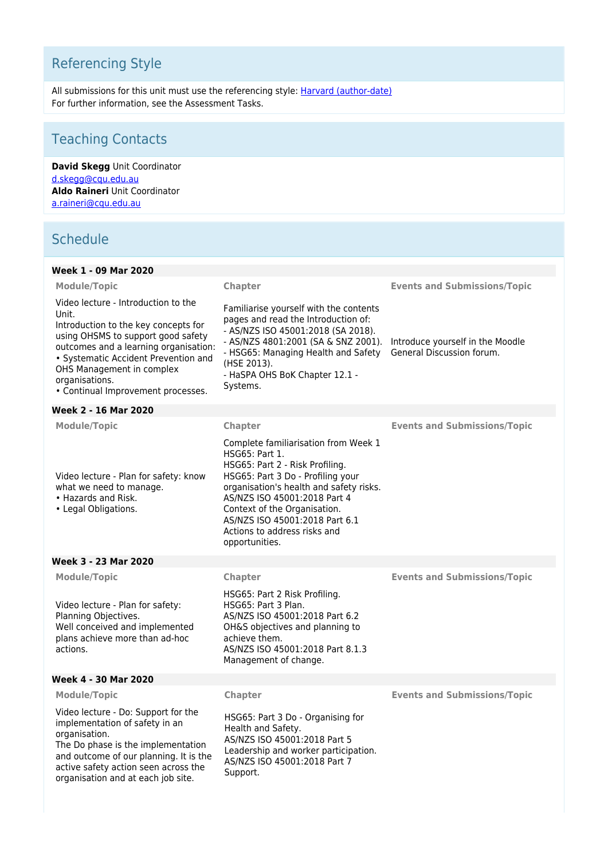# Referencing Style

All submissions for this unit must use the referencing style: <u>[Harvard \(author-date\)](https://delivery-cqucontenthub.stylelabs.cloud/api/public/content/harvard-referencing-style.pdf?v=306efe7e)</u> For further information, see the Assessment Tasks.

# Teaching Contacts

**David Skegg** Unit Coordinator [d.skegg@cqu.edu.au](mailto:d.skegg@cqu.edu.au) **Aldo Raineri** Unit Coordinator [a.raineri@cqu.edu.au](mailto:a.raineri@cqu.edu.au)

# **Schedule**

| Week 1 - 09 Mar 2020                                                                                                                                                                                                                                                                             |                                                                                                                                                                                                                                                                                                                               |                                                               |
|--------------------------------------------------------------------------------------------------------------------------------------------------------------------------------------------------------------------------------------------------------------------------------------------------|-------------------------------------------------------------------------------------------------------------------------------------------------------------------------------------------------------------------------------------------------------------------------------------------------------------------------------|---------------------------------------------------------------|
| <b>Module/Topic</b>                                                                                                                                                                                                                                                                              | Chapter                                                                                                                                                                                                                                                                                                                       | <b>Events and Submissions/Topic</b>                           |
| Video lecture - Introduction to the<br>Unit.<br>Introduction to the key concepts for<br>using OHSMS to support good safety<br>outcomes and a learning organisation:<br>• Systematic Accident Prevention and<br>OHS Management in complex<br>organisations.<br>• Continual Improvement processes. | Familiarise yourself with the contents<br>pages and read the Introduction of:<br>- AS/NZS ISO 45001:2018 (SA 2018).<br>- AS/NZS 4801:2001 (SA & SNZ 2001).<br>- HSG65: Managing Health and Safety<br>(HSE 2013).<br>- HaSPA OHS BoK Chapter 12.1 -<br>Systems.                                                                | Introduce yourself in the Moodle<br>General Discussion forum. |
| Week 2 - 16 Mar 2020                                                                                                                                                                                                                                                                             |                                                                                                                                                                                                                                                                                                                               |                                                               |
| <b>Module/Topic</b>                                                                                                                                                                                                                                                                              | Chapter                                                                                                                                                                                                                                                                                                                       | <b>Events and Submissions/Topic</b>                           |
| Video lecture - Plan for safety: know<br>what we need to manage.<br>• Hazards and Risk.<br>• Legal Obligations.                                                                                                                                                                                  | Complete familiarisation from Week 1<br>HSG65: Part 1.<br>HSG65: Part 2 - Risk Profiling.<br>HSG65: Part 3 Do - Profiling your<br>organisation's health and safety risks.<br>AS/NZS ISO 45001:2018 Part 4<br>Context of the Organisation.<br>AS/NZS ISO 45001:2018 Part 6.1<br>Actions to address risks and<br>opportunities. |                                                               |
| Week 3 - 23 Mar 2020                                                                                                                                                                                                                                                                             |                                                                                                                                                                                                                                                                                                                               |                                                               |
| <b>Module/Topic</b>                                                                                                                                                                                                                                                                              | Chapter                                                                                                                                                                                                                                                                                                                       | <b>Events and Submissions/Topic</b>                           |
| Video lecture - Plan for safety:<br>Planning Objectives.<br>Well conceived and implemented<br>plans achieve more than ad-hoc<br>actions.                                                                                                                                                         | HSG65: Part 2 Risk Profiling.<br>HSG65: Part 3 Plan.<br>AS/NZS ISO 45001:2018 Part 6.2<br>OH&S objectives and planning to<br>achieve them.<br>AS/NZS ISO 45001:2018 Part 8.1.3<br>Management of change.                                                                                                                       |                                                               |
| Week 4 - 30 Mar 2020                                                                                                                                                                                                                                                                             |                                                                                                                                                                                                                                                                                                                               |                                                               |
| <b>Module/Topic</b>                                                                                                                                                                                                                                                                              | Chapter                                                                                                                                                                                                                                                                                                                       | <b>Events and Submissions/Topic</b>                           |
| Video lecture - Do: Support for the<br>implementation of safety in an<br>organisation.<br>The Do phase is the implementation<br>and outcome of our planning. It is the<br>active safety action seen across the<br>organisation and at each job site.                                             | HSG65: Part 3 Do - Organising for<br>Health and Safety.<br>AS/NZS ISO 45001:2018 Part 5<br>Leadership and worker participation.<br>AS/NZS ISO 45001:2018 Part 7<br>Support.                                                                                                                                                   |                                                               |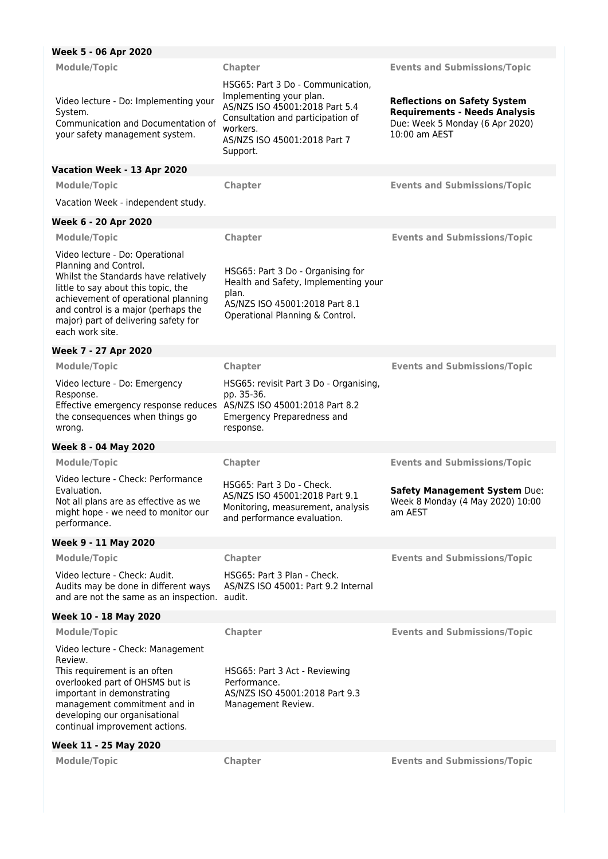| Week 5 - 06 Apr 2020                                                                                                                                                                                                                                                             |                                                                                                                                                                                             |                                                                                                                                 |
|----------------------------------------------------------------------------------------------------------------------------------------------------------------------------------------------------------------------------------------------------------------------------------|---------------------------------------------------------------------------------------------------------------------------------------------------------------------------------------------|---------------------------------------------------------------------------------------------------------------------------------|
| <b>Module/Topic</b>                                                                                                                                                                                                                                                              | <b>Chapter</b>                                                                                                                                                                              | <b>Events and Submissions/Topic</b>                                                                                             |
| Video lecture - Do: Implementing your<br>System.<br>Communication and Documentation of<br>your safety management system.                                                                                                                                                         | HSG65: Part 3 Do - Communication,<br>Implementing your plan.<br>AS/NZS ISO 45001:2018 Part 5.4<br>Consultation and participation of<br>workers.<br>AS/NZS ISO 45001:2018 Part 7<br>Support. | <b>Reflections on Safety System</b><br><b>Requirements - Needs Analysis</b><br>Due: Week 5 Monday (6 Apr 2020)<br>10:00 am AEST |
| Vacation Week - 13 Apr 2020                                                                                                                                                                                                                                                      |                                                                                                                                                                                             |                                                                                                                                 |
| <b>Module/Topic</b>                                                                                                                                                                                                                                                              | <b>Chapter</b>                                                                                                                                                                              | <b>Events and Submissions/Topic</b>                                                                                             |
| Vacation Week - independent study.                                                                                                                                                                                                                                               |                                                                                                                                                                                             |                                                                                                                                 |
| Week 6 - 20 Apr 2020                                                                                                                                                                                                                                                             |                                                                                                                                                                                             |                                                                                                                                 |
| <b>Module/Topic</b>                                                                                                                                                                                                                                                              | Chapter                                                                                                                                                                                     | <b>Events and Submissions/Topic</b>                                                                                             |
| Video lecture - Do: Operational<br>Planning and Control.<br>Whilst the Standards have relatively<br>little to say about this topic, the<br>achievement of operational planning<br>and control is a major (perhaps the<br>major) part of delivering safety for<br>each work site. | HSG65: Part 3 Do - Organising for<br>Health and Safety, Implementing your<br>plan.<br>AS/NZS ISO 45001:2018 Part 8.1<br>Operational Planning & Control.                                     |                                                                                                                                 |
| Week 7 - 27 Apr 2020                                                                                                                                                                                                                                                             |                                                                                                                                                                                             |                                                                                                                                 |
| <b>Module/Topic</b>                                                                                                                                                                                                                                                              | Chapter                                                                                                                                                                                     | <b>Events and Submissions/Topic</b>                                                                                             |
| Video lecture - Do: Emergency<br>Response.<br>Effective emergency response reduces AS/NZS ISO 45001:2018 Part 8.2<br>the consequences when things go<br>wrong.                                                                                                                   | HSG65: revisit Part 3 Do - Organising,<br>pp. 35-36.<br>Emergency Preparedness and<br>response.                                                                                             |                                                                                                                                 |
| Week 8 - 04 May 2020                                                                                                                                                                                                                                                             |                                                                                                                                                                                             |                                                                                                                                 |
| <b>Module/Topic</b>                                                                                                                                                                                                                                                              | Chapter                                                                                                                                                                                     | <b>Events and Submissions/Topic</b>                                                                                             |
| Video lecture - Check: Performance<br>Evaluation.<br>Not all plans are as effective as we<br>might hope - we need to monitor our<br>performance.                                                                                                                                 | HSG65: Part 3 Do - Check.<br>AS/NZS ISO 45001:2018 Part 9.1<br>Monitoring, measurement, analysis<br>and performance evaluation.                                                             | Safety Management System Due:<br>Week 8 Monday (4 May 2020) 10:00<br>am AEST                                                    |
| Week 9 - 11 May 2020                                                                                                                                                                                                                                                             |                                                                                                                                                                                             |                                                                                                                                 |
| <b>Module/Topic</b>                                                                                                                                                                                                                                                              | Chapter                                                                                                                                                                                     | <b>Events and Submissions/Topic</b>                                                                                             |
| Video lecture - Check: Audit.<br>Audits may be done in different ways<br>and are not the same as an inspection. audit.                                                                                                                                                           | HSG65: Part 3 Plan - Check.<br>AS/NZS ISO 45001: Part 9.2 Internal                                                                                                                          |                                                                                                                                 |
| Week 10 - 18 May 2020                                                                                                                                                                                                                                                            |                                                                                                                                                                                             |                                                                                                                                 |
| <b>Module/Topic</b>                                                                                                                                                                                                                                                              | Chapter                                                                                                                                                                                     | <b>Events and Submissions/Topic</b>                                                                                             |
| Video lecture - Check: Management<br>Review.<br>This requirement is an often<br>overlooked part of OHSMS but is<br>important in demonstrating<br>management commitment and in<br>developing our organisational<br>continual improvement actions.                                 | HSG65: Part 3 Act - Reviewing<br>Performance.<br>AS/NZS ISO 45001:2018 Part 9.3<br>Management Review.                                                                                       |                                                                                                                                 |
| Week 11 - 25 May 2020                                                                                                                                                                                                                                                            |                                                                                                                                                                                             |                                                                                                                                 |

**Module/Topic Chapter Events and Submissions/Topic**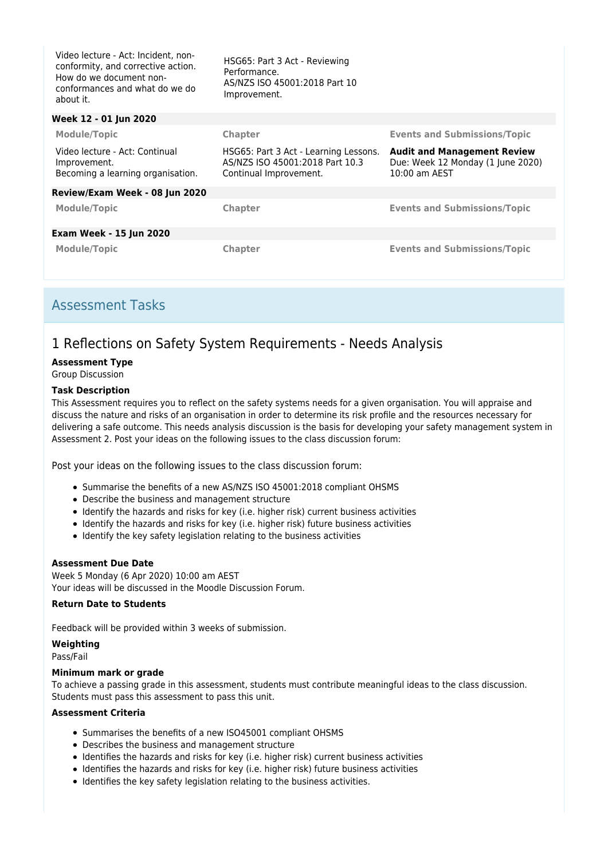| Video lecture - Act: Incident, non-<br>conformity, and corrective action.<br>How do we document non-<br>conformances and what do we do<br>about it. | HSG65: Part 3 Act - Reviewing<br>Performance.<br>AS/NZS ISO 45001:2018 Part 10<br>Improvement.     |                                                                                          |
|-----------------------------------------------------------------------------------------------------------------------------------------------------|----------------------------------------------------------------------------------------------------|------------------------------------------------------------------------------------------|
| Week 12 - 01 Jun 2020                                                                                                                               |                                                                                                    |                                                                                          |
| <b>Module/Topic</b>                                                                                                                                 | <b>Chapter</b>                                                                                     | <b>Events and Submissions/Topic</b>                                                      |
| Video lecture - Act: Continual<br>Improvement.<br>Becoming a learning organisation.                                                                 | HSG65: Part 3 Act - Learning Lessons.<br>AS/NZS ISO 45001:2018 Part 10.3<br>Continual Improvement. | <b>Audit and Management Review</b><br>Due: Week 12 Monday (1 June 2020)<br>10:00 am AEST |
| Review/Exam Week - 08 Jun 2020                                                                                                                      |                                                                                                    |                                                                                          |
| <b>Module/Topic</b>                                                                                                                                 | <b>Chapter</b>                                                                                     | <b>Events and Submissions/Topic</b>                                                      |
| <b>Exam Week - 15 Jun 2020</b>                                                                                                                      |                                                                                                    |                                                                                          |
| <b>Module/Topic</b>                                                                                                                                 | <b>Chapter</b>                                                                                     | <b>Events and Submissions/Topic</b>                                                      |

## Assessment Tasks

# 1 Reflections on Safety System Requirements - Needs Analysis

#### **Assessment Type**

Group Discussion

#### **Task Description**

This Assessment requires you to reflect on the safety systems needs for a given organisation. You will appraise and discuss the nature and risks of an organisation in order to determine its risk profile and the resources necessary for delivering a safe outcome. This needs analysis discussion is the basis for developing your safety management system in Assessment 2. Post your ideas on the following issues to the class discussion forum:

Post your ideas on the following issues to the class discussion forum:

- Summarise the benefits of a new AS/NZS ISO 45001:2018 compliant OHSMS
- Describe the business and management structure
- Identify the hazards and risks for key (i.e. higher risk) current business activities
- Identify the hazards and risks for key (i.e. higher risk) future business activities
- Identify the key safety legislation relating to the business activities

#### **Assessment Due Date**

Week 5 Monday (6 Apr 2020) 10:00 am AEST Your ideas will be discussed in the Moodle Discussion Forum.

#### **Return Date to Students**

Feedback will be provided within 3 weeks of submission.

#### **Weighting** Pass/Fail

#### **Minimum mark or grade**

To achieve a passing grade in this assessment, students must contribute meaningful ideas to the class discussion. Students must pass this assessment to pass this unit.

#### **Assessment Criteria**

- Summarises the benefits of a new ISO45001 compliant OHSMS
- Describes the business and management structure
- Identifies the hazards and risks for key (i.e. higher risk) current business activities
- Identifies the hazards and risks for key (i.e. higher risk) future business activities
- Identifies the key safety legislation relating to the business activities.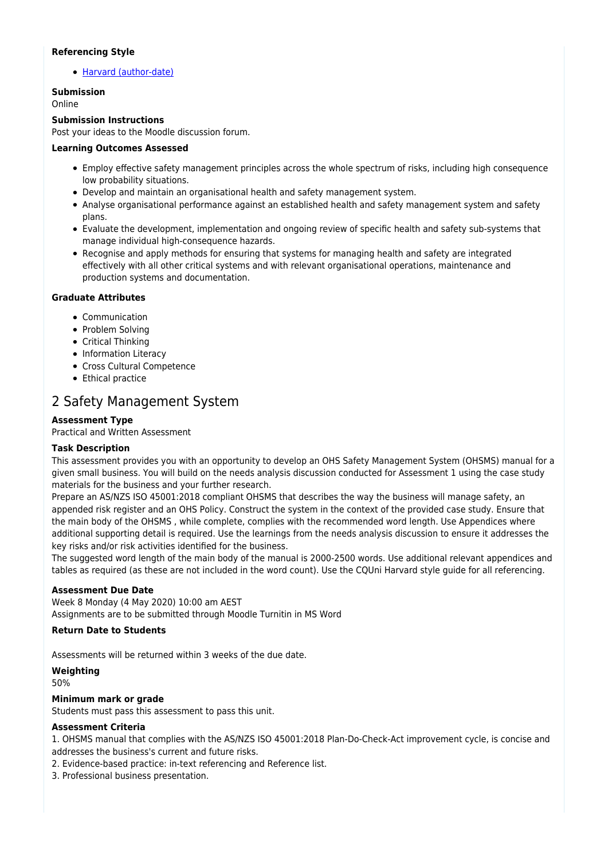#### **Referencing Style**

[Harvard \(author-date\)](https://delivery-cqucontenthub.stylelabs.cloud/api/public/content/harvard-referencing-style.pdf?v=306efe7e)

## **Submission**

Online

#### **Submission Instructions**

Post your ideas to the Moodle discussion forum.

#### **Learning Outcomes Assessed**

- Employ effective safety management principles across the whole spectrum of risks, including high consequence low probability situations.
- Develop and maintain an organisational health and safety management system.
- Analyse organisational performance against an established health and safety management system and safety plans.
- Evaluate the development, implementation and ongoing review of specific health and safety sub-systems that manage individual high-consequence hazards.
- Recognise and apply methods for ensuring that systems for managing health and safety are integrated effectively with all other critical systems and with relevant organisational operations, maintenance and production systems and documentation.

#### **Graduate Attributes**

- Communication
- Problem Solving
- Critical Thinking
- Information Literacy
- Cross Cultural Competence
- Ethical practice

# 2 Safety Management System

#### **Assessment Type**

Practical and Written Assessment

#### **Task Description**

This assessment provides you with an opportunity to develop an OHS Safety Management System (OHSMS) manual for a given small business. You will build on the needs analysis discussion conducted for Assessment 1 using the case study materials for the business and your further research.

Prepare an AS/NZS ISO 45001:2018 compliant OHSMS that describes the way the business will manage safety, an appended risk register and an OHS Policy. Construct the system in the context of the provided case study. Ensure that the main body of the OHSMS , while complete, complies with the recommended word length. Use Appendices where additional supporting detail is required. Use the learnings from the needs analysis discussion to ensure it addresses the key risks and/or risk activities identified for the business.

The suggested word length of the main body of the manual is 2000-2500 words. Use additional relevant appendices and tables as required (as these are not included in the word count). Use the CQUni Harvard style guide for all referencing.

#### **Assessment Due Date**

Week 8 Monday (4 May 2020) 10:00 am AEST Assignments are to be submitted through Moodle Turnitin in MS Word

#### **Return Date to Students**

Assessments will be returned within 3 weeks of the due date.

#### **Weighting**

50%

#### **Minimum mark or grade**

Students must pass this assessment to pass this unit.

#### **Assessment Criteria**

1. OHSMS manual that complies with the AS/NZS ISO 45001:2018 Plan-Do-Check-Act improvement cycle, is concise and addresses the business's current and future risks.

2. Evidence-based practice: in-text referencing and Reference list.

3. Professional business presentation.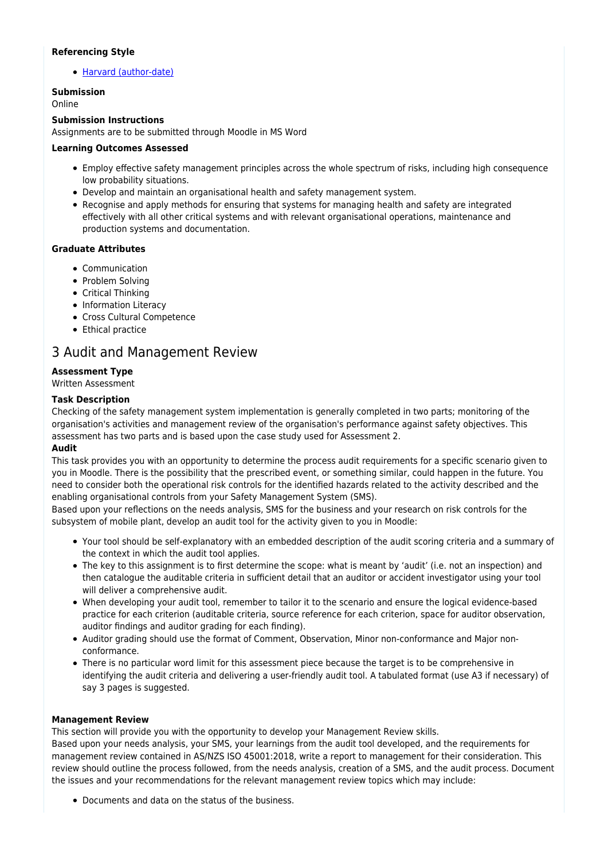#### **Referencing Style**

[Harvard \(author-date\)](https://delivery-cqucontenthub.stylelabs.cloud/api/public/content/harvard-referencing-style.pdf?v=306efe7e)

### **Submission**

Online

#### **Submission Instructions**

Assignments are to be submitted through Moodle in MS Word

#### **Learning Outcomes Assessed**

- Employ effective safety management principles across the whole spectrum of risks, including high consequence low probability situations.
- Develop and maintain an organisational health and safety management system.
- Recognise and apply methods for ensuring that systems for managing health and safety are integrated effectively with all other critical systems and with relevant organisational operations, maintenance and production systems and documentation.

#### **Graduate Attributes**

- Communication
- Problem Solving
- Critical Thinking
- Information Literacy
- Cross Cultural Competence
- Ethical practice

## 3 Audit and Management Review

#### **Assessment Type**

Written Assessment

#### **Task Description**

Checking of the safety management system implementation is generally completed in two parts; monitoring of the organisation's activities and management review of the organisation's performance against safety objectives. This assessment has two parts and is based upon the case study used for Assessment 2.

#### **Audit**

This task provides you with an opportunity to determine the process audit requirements for a specific scenario given to you in Moodle. There is the possibility that the prescribed event, or something similar, could happen in the future. You need to consider both the operational risk controls for the identified hazards related to the activity described and the enabling organisational controls from your Safety Management System (SMS).

Based upon your reflections on the needs analysis, SMS for the business and your research on risk controls for the subsystem of mobile plant, develop an audit tool for the activity given to you in Moodle:

- Your tool should be self-explanatory with an embedded description of the audit scoring criteria and a summary of the context in which the audit tool applies.
- The key to this assignment is to first determine the scope: what is meant by 'audit' (i.e. not an inspection) and then catalogue the auditable criteria in sufficient detail that an auditor or accident investigator using your tool will deliver a comprehensive audit.
- When developing your audit tool, remember to tailor it to the scenario and ensure the logical evidence-based practice for each criterion (auditable criteria, source reference for each criterion, space for auditor observation, auditor findings and auditor grading for each finding).
- Auditor grading should use the format of Comment, Observation, Minor non-conformance and Major nonconformance.
- There is no particular word limit for this assessment piece because the target is to be comprehensive in identifying the audit criteria and delivering a user-friendly audit tool. A tabulated format (use A3 if necessary) of say 3 pages is suggested.

#### **Management Review**

This section will provide you with the opportunity to develop your Management Review skills. Based upon your needs analysis, your SMS, your learnings from the audit tool developed, and the requirements for management review contained in AS/NZS ISO 45001:2018, write a report to management for their consideration. This review should outline the process followed, from the needs analysis, creation of a SMS, and the audit process. Document the issues and your recommendations for the relevant management review topics which may include:

Documents and data on the status of the business.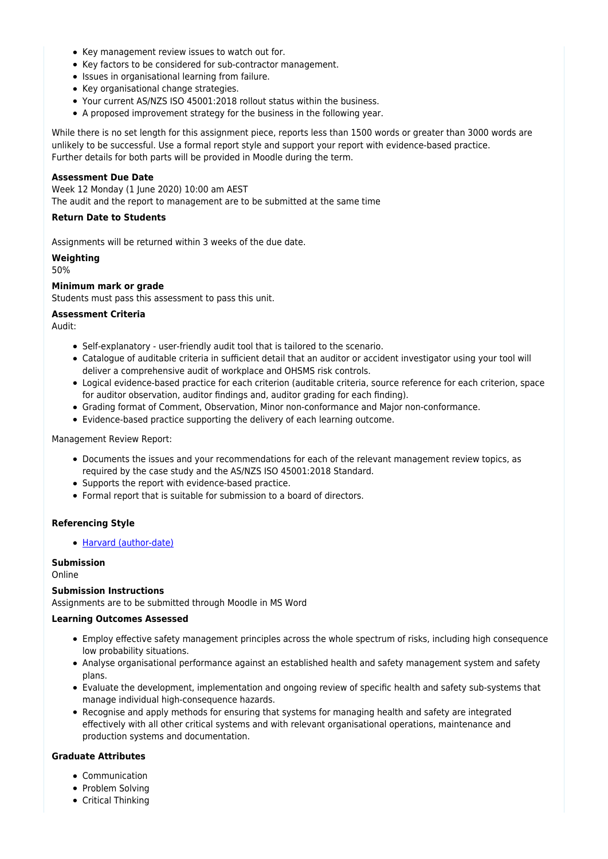- Key management review issues to watch out for.
- Key factors to be considered for sub-contractor management.
- Issues in organisational learning from failure.
- Key organisational change strategies.
- Your current AS/NZS ISO 45001:2018 rollout status within the business.
- A proposed improvement strategy for the business in the following year.

While there is no set length for this assignment piece, reports less than 1500 words or greater than 3000 words are unlikely to be successful. Use a formal report style and support your report with evidence-based practice. Further details for both parts will be provided in Moodle during the term.

#### **Assessment Due Date**

Week 12 Monday (1 June 2020) 10:00 am AEST The audit and the report to management are to be submitted at the same time

#### **Return Date to Students**

Assignments will be returned within 3 weeks of the due date.

#### **Weighting**

50%

#### **Minimum mark or grade**

Students must pass this assessment to pass this unit.

#### **Assessment Criteria**

Audit:

- Self-explanatory user-friendly audit tool that is tailored to the scenario.
- Catalogue of auditable criteria in sufficient detail that an auditor or accident investigator using your tool will deliver a comprehensive audit of workplace and OHSMS risk controls.
- Logical evidence-based practice for each criterion (auditable criteria, source reference for each criterion, space for auditor observation, auditor findings and, auditor grading for each finding).
- Grading format of Comment, Observation, Minor non-conformance and Major non-conformance.
- Evidence-based practice supporting the delivery of each learning outcome.

#### Management Review Report:

- Documents the issues and your recommendations for each of the relevant management review topics, as required by the case study and the AS/NZS ISO 45001:2018 Standard.
- Supports the report with evidence-based practice.
- Formal report that is suitable for submission to a board of directors.

#### **Referencing Style**

[Harvard \(author-date\)](https://delivery-cqucontenthub.stylelabs.cloud/api/public/content/harvard-referencing-style.pdf?v=306efe7e)

#### **Submission**

Online

#### **Submission Instructions**

Assignments are to be submitted through Moodle in MS Word

#### **Learning Outcomes Assessed**

- Employ effective safety management principles across the whole spectrum of risks, including high consequence low probability situations.
- Analyse organisational performance against an established health and safety management system and safety plans.
- Evaluate the development, implementation and ongoing review of specific health and safety sub-systems that manage individual high-consequence hazards.
- Recognise and apply methods for ensuring that systems for managing health and safety are integrated effectively with all other critical systems and with relevant organisational operations, maintenance and production systems and documentation.

#### **Graduate Attributes**

- Communication
- Problem Solving
- Critical Thinking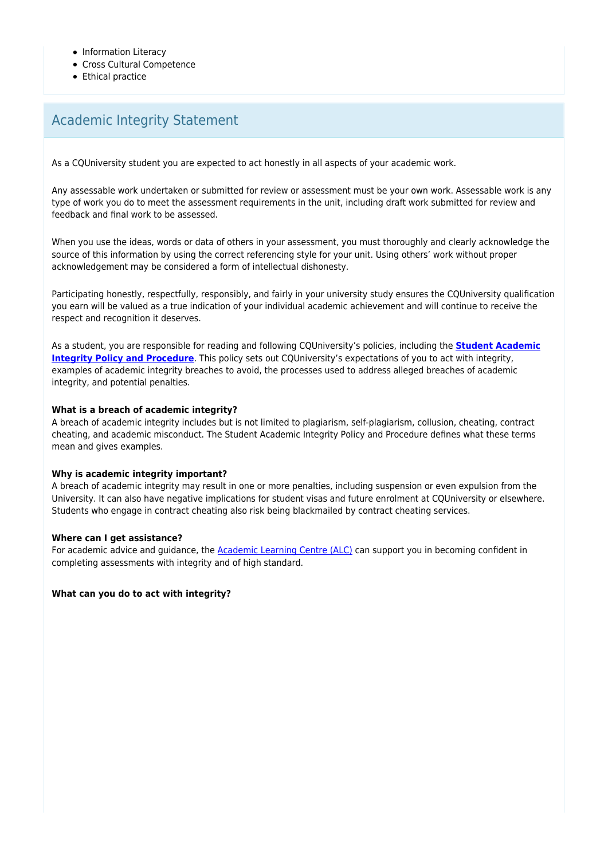- Information Literacy
- Cross Cultural Competence
- Ethical practice

# Academic Integrity Statement

As a CQUniversity student you are expected to act honestly in all aspects of your academic work.

Any assessable work undertaken or submitted for review or assessment must be your own work. Assessable work is any type of work you do to meet the assessment requirements in the unit, including draft work submitted for review and feedback and final work to be assessed.

When you use the ideas, words or data of others in your assessment, you must thoroughly and clearly acknowledge the source of this information by using the correct referencing style for your unit. Using others' work without proper acknowledgement may be considered a form of intellectual dishonesty.

Participating honestly, respectfully, responsibly, and fairly in your university study ensures the CQUniversity qualification you earn will be valued as a true indication of your individual academic achievement and will continue to receive the respect and recognition it deserves.

As a student, you are responsible for reading and following CQUniversity's policies, including the **[Student Academic](https://www.cqu.edu.au/policy/sharepoint-document-download?file_uri={BE8380F3-F86D-4C55-AC0D-84A81EAFD6A2}/Student%20Academic%20Integrity%20Policy%20and%20Procedure%20(formerly%20known%20as%20the%20Academic%20Misconduct%20Procedure).pdf) [Integrity Policy and Procedure](https://www.cqu.edu.au/policy/sharepoint-document-download?file_uri={BE8380F3-F86D-4C55-AC0D-84A81EAFD6A2}/Student%20Academic%20Integrity%20Policy%20and%20Procedure%20(formerly%20known%20as%20the%20Academic%20Misconduct%20Procedure).pdf)**. This policy sets out CQUniversity's expectations of you to act with integrity, examples of academic integrity breaches to avoid, the processes used to address alleged breaches of academic integrity, and potential penalties.

#### **What is a breach of academic integrity?**

A breach of academic integrity includes but is not limited to plagiarism, self-plagiarism, collusion, cheating, contract cheating, and academic misconduct. The Student Academic Integrity Policy and Procedure defines what these terms mean and gives examples.

#### **Why is academic integrity important?**

A breach of academic integrity may result in one or more penalties, including suspension or even expulsion from the University. It can also have negative implications for student visas and future enrolment at CQUniversity or elsewhere. Students who engage in contract cheating also risk being blackmailed by contract cheating services.

#### **Where can I get assistance?**

For academic advice and guidance, the **Academic Learning Centre (ALC)** can support you in becoming confident in completing assessments with integrity and of high standard.

**What can you do to act with integrity?**